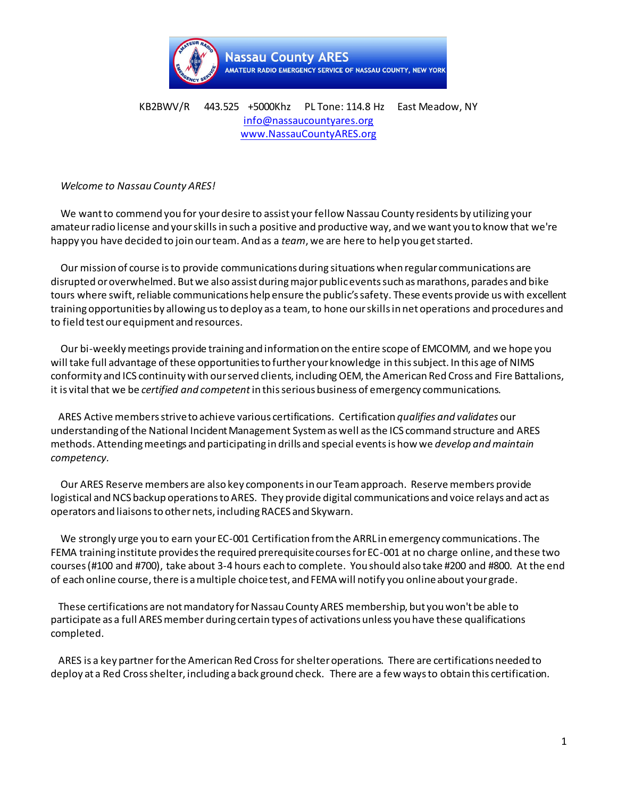

## KB2BWV/R 443.525 +5000Khz PL Tone: 114.8 Hz East Meadow, NY [info@nassaucountyares.org](mailto:info@nassaucountyares.org) [www.NassauCountyARES.org](http://www.nassaucountyares.org/)

## *Welcome to Nassau County ARES!*

 We want to commend you for your desire to assist your fellow Nassau County residents by utilizing your amateur radio license and your skills in such a positive and productive way, and we want you to know that we're happy you have decided to join our team. And as a *team*, we are here to help you get started.

 Our mission of course is to provide communications during situations when regular communications are disrupted or overwhelmed. But we also assist during major public events such as marathons, parades and bike tours where swift, reliable communications help ensure the public's safety. These events provide us with excellent training opportunities by allowing us to deploy as a team, to hone our skills in net operations and procedures and to field test our equipment and resources.

 Our bi-weekly meetings provide training and information on the entire scope of EMCOMM, and we hope you will take full advantage of these opportunities to further your knowledge in thissubject. In this age of NIMS conformity and ICS continuity with our served clients, including OEM, the American Red Cross and Fire Battalions, it is vital that we be *certified and competent*in thisserious business of emergency communications.

 ARES Active members strive to achieve various certifications. Certification *qualifies and validates* our understanding of the National Incident Management System as well asthe ICS command structure and ARES methods. Attending meetings and participating in drills and special eventsis how we *develop and maintain competency.*

 Our ARES Reserve members are also key components in our Team approach. Reserve members provide logistical and NCS backup operations to ARES. They provide digital communications and voice relays and act as operators and liaisonsto other nets, including RACES and Skywarn.

 We strongly urge you to earn your EC-001 Certification from the ARRL in emergency communications. The FEMA training institute provides the required prerequisite courses for EC-001 at no charge online, and these two courses (#100 and #700), take about 3-4 hours each to complete. You should also take #200 and #800. At the end of each online course, there is a multiple choice test, and FEMA will notify you online about your grade.

 These certifications are not mandatory for Nassau County ARES membership, but you won't be able to participate as a full ARES member during certain types of activations unless you have these qualifications completed.

 ARES is a key partner for the American Red Cross for shelter operations. There are certifications needed to deploy at a Red Cross shelter, including a back ground check. There are a few ways to obtain this certification.